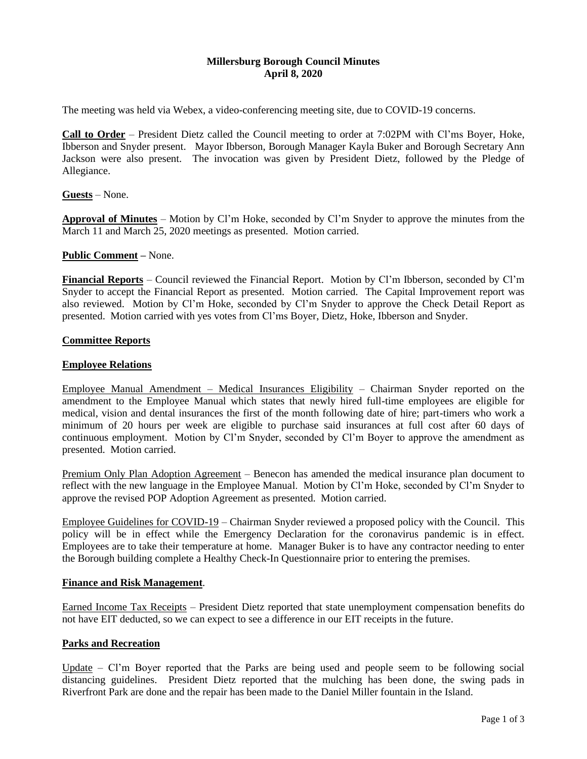## **Millersburg Borough Council Minutes April 8, 2020**

The meeting was held via Webex, a video-conferencing meeting site, due to COVID-19 concerns.

**Call to Order** – President Dietz called the Council meeting to order at 7:02PM with Cl'ms Boyer, Hoke, Ibberson and Snyder present. Mayor Ibberson, Borough Manager Kayla Buker and Borough Secretary Ann Jackson were also present. The invocation was given by President Dietz, followed by the Pledge of Allegiance.

**Guests** – None.

**Approval of Minutes** – Motion by Cl'm Hoke, seconded by Cl'm Snyder to approve the minutes from the March 11 and March 25, 2020 meetings as presented. Motion carried.

### **Public Comment –** None.

**Financial Reports** – Council reviewed the Financial Report. Motion by Cl'm Ibberson, seconded by Cl'm Snyder to accept the Financial Report as presented. Motion carried. The Capital Improvement report was also reviewed. Motion by Cl'm Hoke, seconded by Cl'm Snyder to approve the Check Detail Report as presented. Motion carried with yes votes from Cl'ms Boyer, Dietz, Hoke, Ibberson and Snyder.

# **Committee Reports**

### **Employee Relations**

Employee Manual Amendment – Medical Insurances Eligibility – Chairman Snyder reported on the amendment to the Employee Manual which states that newly hired full-time employees are eligible for medical, vision and dental insurances the first of the month following date of hire; part-timers who work a minimum of 20 hours per week are eligible to purchase said insurances at full cost after 60 days of continuous employment. Motion by Cl'm Snyder, seconded by Cl'm Boyer to approve the amendment as presented. Motion carried.

Premium Only Plan Adoption Agreement – Benecon has amended the medical insurance plan document to reflect with the new language in the Employee Manual. Motion by Cl'm Hoke, seconded by Cl'm Snyder to approve the revised POP Adoption Agreement as presented. Motion carried.

Employee Guidelines for COVID-19 – Chairman Snyder reviewed a proposed policy with the Council. This policy will be in effect while the Emergency Declaration for the coronavirus pandemic is in effect. Employees are to take their temperature at home. Manager Buker is to have any contractor needing to enter the Borough building complete a Healthy Check-In Questionnaire prior to entering the premises.

#### **Finance and Risk Management**.

Earned Income Tax Receipts – President Dietz reported that state unemployment compensation benefits do not have EIT deducted, so we can expect to see a difference in our EIT receipts in the future.

### **Parks and Recreation**

Update – Cl'm Boyer reported that the Parks are being used and people seem to be following social distancing guidelines. President Dietz reported that the mulching has been done, the swing pads in Riverfront Park are done and the repair has been made to the Daniel Miller fountain in the Island.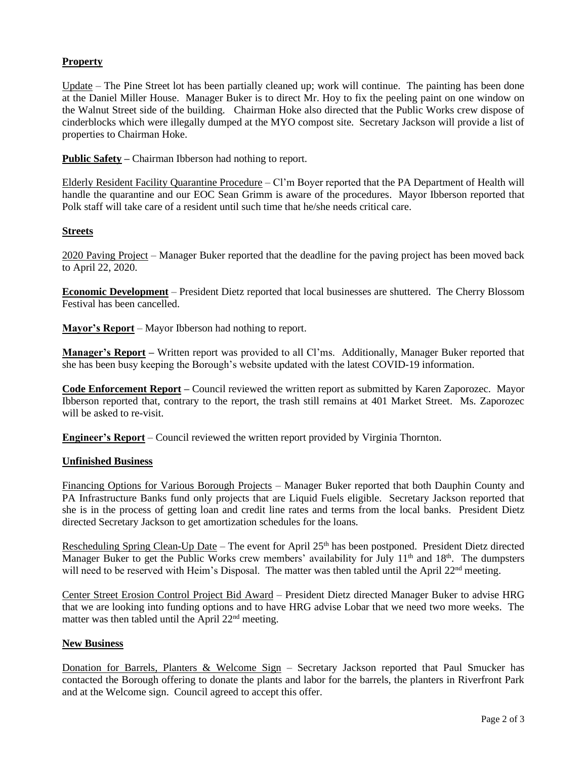# **Property**

Update – The Pine Street lot has been partially cleaned up; work will continue. The painting has been done at the Daniel Miller House. Manager Buker is to direct Mr. Hoy to fix the peeling paint on one window on the Walnut Street side of the building. Chairman Hoke also directed that the Public Works crew dispose of cinderblocks which were illegally dumped at the MYO compost site. Secretary Jackson will provide a list of properties to Chairman Hoke.

**Public Safety –** Chairman Ibberson had nothing to report.

Elderly Resident Facility Quarantine Procedure – Cl'm Boyer reported that the PA Department of Health will handle the quarantine and our EOC Sean Grimm is aware of the procedures. Mayor Ibberson reported that Polk staff will take care of a resident until such time that he/she needs critical care.

### **Streets**

2020 Paving Project – Manager Buker reported that the deadline for the paving project has been moved back to April 22, 2020.

**Economic Development** – President Dietz reported that local businesses are shuttered. The Cherry Blossom Festival has been cancelled.

**Mayor's Report** – Mayor Ibberson had nothing to report.

**Manager's Report –** Written report was provided to all Cl'ms. Additionally, Manager Buker reported that she has been busy keeping the Borough's website updated with the latest COVID-19 information.

**Code Enforcement Report –** Council reviewed the written report as submitted by Karen Zaporozec. Mayor Ibberson reported that, contrary to the report, the trash still remains at 401 Market Street. Ms. Zaporozec will be asked to re-visit.

**Engineer's Report** – Council reviewed the written report provided by Virginia Thornton.

### **Unfinished Business**

Financing Options for Various Borough Projects – Manager Buker reported that both Dauphin County and PA Infrastructure Banks fund only projects that are Liquid Fuels eligible. Secretary Jackson reported that she is in the process of getting loan and credit line rates and terms from the local banks. President Dietz directed Secretary Jackson to get amortization schedules for the loans.

Rescheduling Spring Clean-Up Date – The event for April 25<sup>th</sup> has been postponed. President Dietz directed Manager Buker to get the Public Works crew members' availability for July 11<sup>th</sup> and 18<sup>th</sup>. The dumpsters will need to be reserved with Heim's Disposal. The matter was then tabled until the April  $22<sup>nd</sup>$  meeting.

Center Street Erosion Control Project Bid Award – President Dietz directed Manager Buker to advise HRG that we are looking into funding options and to have HRG advise Lobar that we need two more weeks. The matter was then tabled until the April  $22<sup>nd</sup>$  meeting.

### **New Business**

Donation for Barrels, Planters & Welcome Sign - Secretary Jackson reported that Paul Smucker has contacted the Borough offering to donate the plants and labor for the barrels, the planters in Riverfront Park and at the Welcome sign. Council agreed to accept this offer.